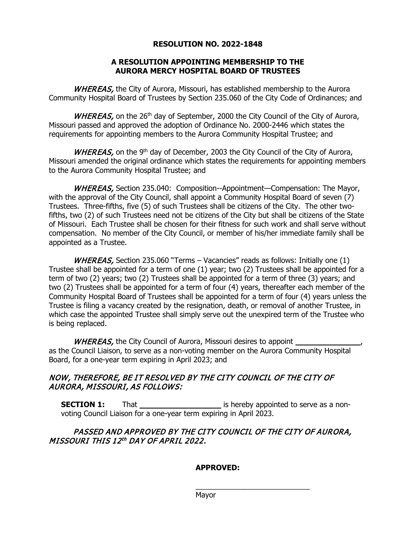#### **RESOLUTION NO. 2022-1848**

#### **A RESOLUTION APPOINTING MEMBERSHIP TO THE AURORA MERCY HOSPITAL BOARD OF TRUSTEES**

WHEREAS, the City of Aurora, Missouri, has established membership to the Aurora Community Hospital Board of Trustees by Section 235.060 of the City Code of Ordinances; and

WHEREAS, on the 26<sup>th</sup> day of September, 2000 the City Council of the City of Aurora, Missouri passed and approved the adoption of Ordinance No. 2000-2446 which states the requirements for appointing members to the Aurora Community Hospital Trustee; and

WHEREAS, on the 9<sup>th</sup> day of December, 2003 the City Council of the City of Aurora, Missouri amended the original ordinance which states the requirements for appointing members to the Aurora Community Hospital Trustee; and

WHEREAS, Section 235.040: Composition--Appointment—Compensation: The Mayor, with the approval of the City Council, shall appoint a Community Hospital Board of seven (7) Trustees. Three-fifths, five (5) of such Trustees shall be citizens of the City. The other twofifths, two (2) of such Trustees need not be citizens of the City but shall be citizens of the State of Missouri. Each Trustee shall be chosen for their fitness for such work and shall serve without compensation. No member of the City Council, or member of his/her immediate family shall be appointed as a Trustee.

WHEREAS, Section 235.060 "Terms – Vacancies" reads as follows: Initially one  $(1)$ Trustee shall be appointed for a term of one (1) year; two (2) Trustees shall be appointed for a term of two (2) years; two (2) Trustees shall be appointed for a term of three (3) years; and two (2) Trustees shall be appointed for a term of four (4) years, thereafter each member of the Community Hospital Board of Trustees shall be appointed for a term of four (4) years unless the Trustee is filing a vacancy created by the resignation, death, or removal of another Trustee, in which case the appointed Trustee shall simply serve out the unexpired term of the Trustee who is being replaced.

WHEREAS, the City Council of Aurora, Missouri desires to appoint as the Council Liaison, to serve as a non-voting member on the Aurora Community Hospital Board, for a one-year term expiring in April 2023; and

## NOW, THEREFORE, BE IT RESOLVED BY THE CITY COUNCIL OF THE CITY OF AURORA, MISSOURI, AS FOLLOWS:

**SECTION 1:** That That That That That That is hereby appointed to serve as a nonvoting Council Liaison for a one-year term expiring in April 2023.

## PASSED AND APPROVED BY THE CITY COUNCIL OF THE CITY OF AURORA, MISSOURI THIS 12th DAY OF APRIL 2022.

## **APPROVED:**

\_\_\_\_\_\_\_\_\_\_\_\_\_\_\_\_\_\_\_\_\_\_\_\_\_\_\_\_

Mayor